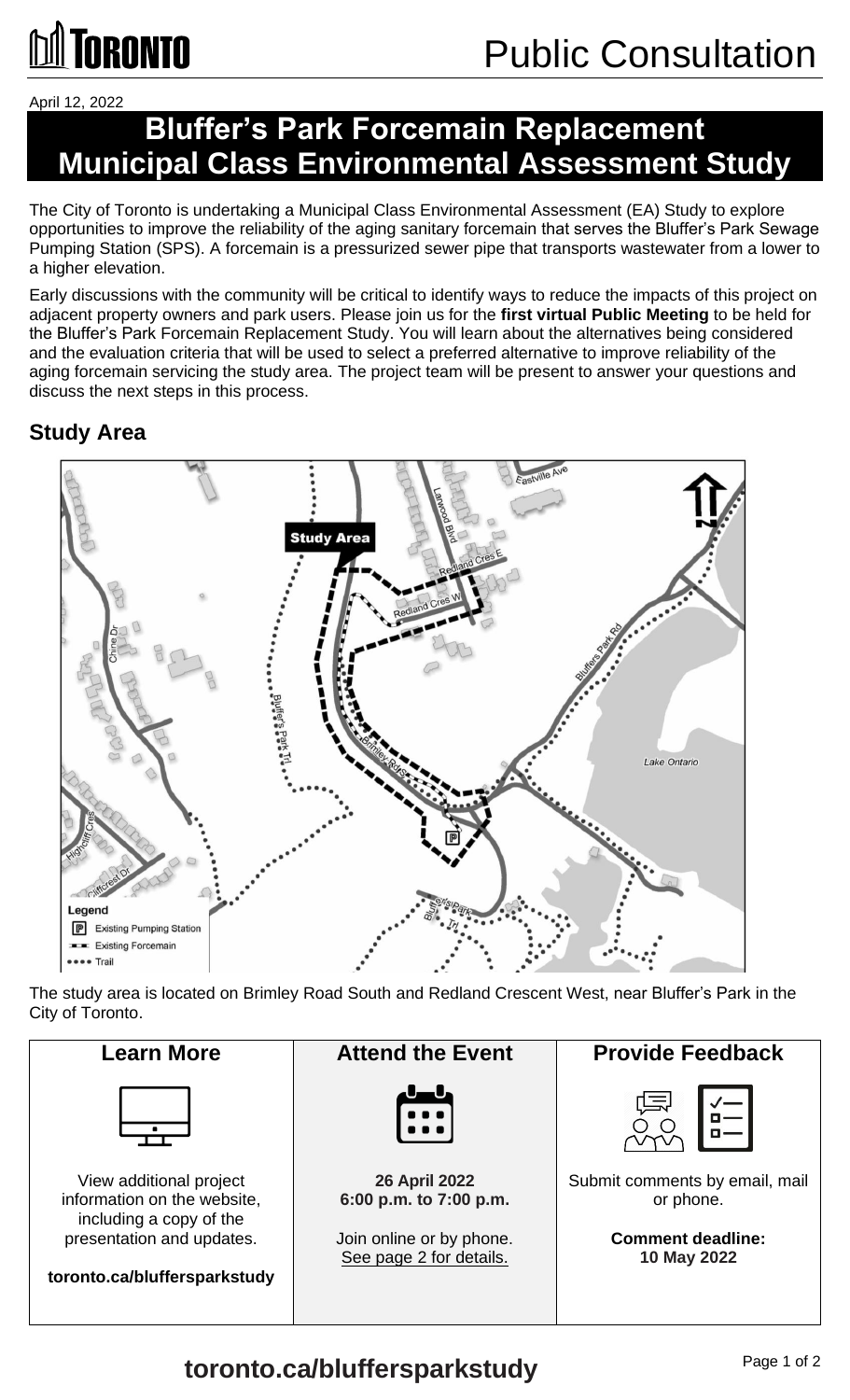# **~TORONTO**

April 12, 2022

# **Bluffer's Park Forcemain Replacement Municipal Class Environmental Assessment Study**

 The City of Toronto is undertaking a Municipal Class Environmental Assessment (EA) Study to explore Pumping Station (SPS). A forcemain is a pressurized sewer pipe that transports wastewater from a lower to opportunities to improve the reliability of the aging sanitary forcemain that serves the Bluffer's Park Sewage a higher elevation.

 and the evaluation criteria that will be used to select a preferred alternative to improve reliability of the aging forcemain servicing the study area. The project team will be present to answer your questions and Early discussions with the community will be critical to identify ways to reduce the impacts of this project on adjacent property owners and park users. Please join us for the **first virtual Public Meeting** to be held for the Bluffer's Park Forcemain Replacement Study. You will learn about the alternatives being considered discuss the next steps in this process.

## **Study Area**



The study area is located on Brimley Road South and Redland Crescent West, near Bluffer's Park in the City of Toronto.

26 April 2022 gannan<br>L<del>air</del>  $\begin{bmatrix} \cdots \end{bmatrix}$ Learn More **Notal Attend the Event Represent Beat A** Provide Feedback View additional project **26 April 2022** Submit comments by email, mail information on the website,  $\begin{vmatrix} 6:00 \text{ p.m. to } 7:00 \text{ p.m.} \end{vmatrix}$  or phone. including a copy of the presentation and updates.  $|$  Join online or by phone.  $|$  **Comment deadline:** See page 2 for details. **10 May 2022** 

Page 1 of 2 **toronto.ca/bluffersparkstudy** 

**toronto.ca/bluffersparkstudy**